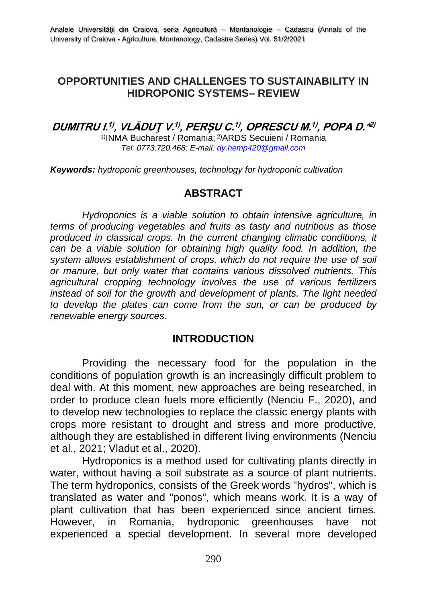#### **OPPORTUNITIES AND CHALLENGES TO SUSTAINABILITY IN HIDROPONIC SYSTEMS– REVIEW**

## **DUMITRU I. 1) , VLĂDUŢ V. 1) , PERȘU C. 1) , OPRESCU M. 1) , POPA D.\* 2)**

1)INMA Bucharest / Romania; 2)ARDS Secuieni / Romania *Tel: 0773.720.468; E-mail: dy.hemp420@gmail.com*

*Keywords: hydroponic greenhouses, technology for hydroponic cultivation*

#### **ABSTRACT**

*Hydroponics is a viable solution to obtain intensive agriculture, in terms of producing vegetables and fruits as tasty and nutritious as those produced in classical crops. In the current changing climatic conditions, it can be a viable solution for obtaining high quality food. In addition, the system allows establishment of crops, which do not require the use of soil or manure, but only water that contains various dissolved nutrients. This agricultural cropping technology involves the use of various fertilizers instead of soil for the growth and development of plants. The light needed to develop the plates can come from the sun, or can be produced by renewable energy sources.*

#### **INTRODUCTION**

Providing the necessary food for the population in the conditions of population growth is an increasingly difficult problem to deal with. At this moment, new approaches are being researched, in order to produce clean fuels more efficiently (Nenciu F., 2020), and to develop new technologies to replace the classic energy plants with crops more resistant to drought and stress and more productive, although they are established in different living environments (Nenciu et al., 2021; Vladut et al., 2020).

Hydroponics is a method used for cultivating plants directly in water, without having a soil substrate as a source of plant nutrients. The term hydroponics, consists of the Greek words "hydros", which is translated as water and "ponos", which means work. It is a way of plant cultivation that has been experienced since ancient times. However, in Romania, hydroponic greenhouses have not experienced a special development. In several more developed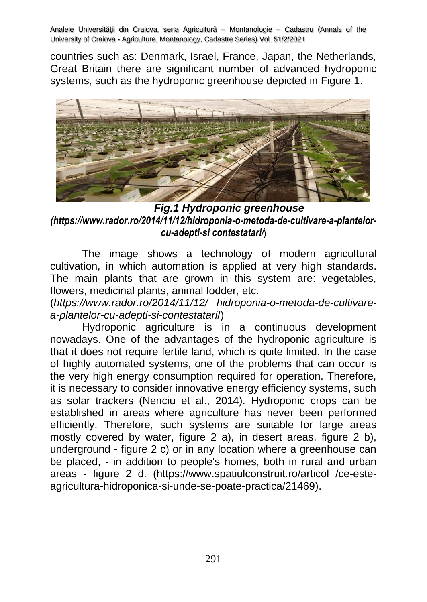countries such as: Denmark, Israel, France, Japan, the Netherlands, Great Britain there are significant number of advanced hydroponic systems, such as the hydroponic greenhouse depicted in Figure 1.



*Fig.1 Hydroponic greenhouse [\(https://www.rador.ro/2014/11/12/hidroponia-o-metoda-de-cultivare-a-plantelor](https://www.rador.ro/2014/11/12/hidroponia-o-metoda-de-cultivare-a-plantelor-cu-adepti-si%20contestatari/)[cu-adepti-si contestatari/](https://www.rador.ro/2014/11/12/hidroponia-o-metoda-de-cultivare-a-plantelor-cu-adepti-si%20contestatari/)***)**

The image shows a technology of modern agricultural cultivation, in which automation is applied at very high standards. The main plants that are grown in this system are: vegetables, flowers, medicinal plants, animal fodder, etc.

(*<https://www.rador.ro/2014/11/12/> hidroponia-o-metoda-de-cultivarea-plantelor-cu-adepti-si-contestatari*/)

Hydroponic agriculture is in a continuous development nowadays. One of the advantages of the hydroponic agriculture is that it does not require fertile land, which is quite limited. In the case of highly automated systems, one of the problems that can occur is the very high energy consumption required for operation. Therefore, it is necessary to consider innovative energy efficiency systems, such as solar trackers (Nenciu et al., 2014). Hydroponic crops can be established in areas where agriculture has never been performed efficiently. Therefore, such systems are suitable for large areas mostly covered by water, figure 2 a), in desert areas, figure 2 b), underground - figure 2 c) or in any location where a greenhouse can be placed, - in addition to people's homes, both in rural and urban areas - figure 2 d. [\(https://www.spatiulconstruit.ro/articol](https://www.spatiulconstruit.ro/articol) /ce-esteagricultura-hidroponica-si-unde-se-poate-practica/21469).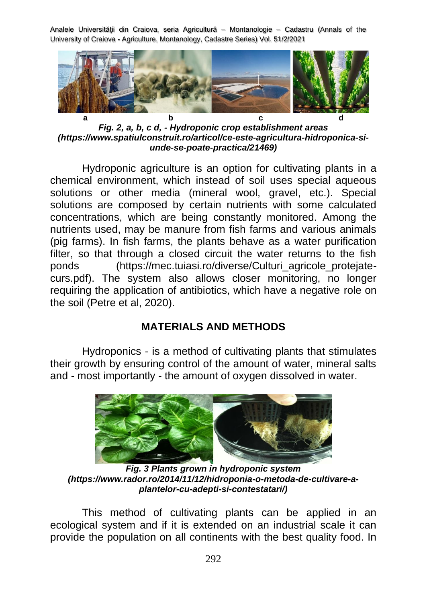

*Fig. 2, a, b, c d, - Hydroponic crop establishment areas [\(https://www.spatiulconstruit.ro/articol/ce-este-agricultura-hidroponica-si](https://www.spatiulconstruit.ro/articol/ce-este-agricultura-hidroponica-si-unde-se-poate-practica/21469)[unde-se-poate-practica/21469\)](https://www.spatiulconstruit.ro/articol/ce-este-agricultura-hidroponica-si-unde-se-poate-practica/21469)*

Hydroponic agriculture is an option for cultivating plants in a chemical environment, which instead of soil uses special aqueous solutions or other media (mineral wool, gravel, etc.). Special solutions are composed by certain nutrients with some calculated concentrations, which are being constantly monitored. Among the nutrients used, may be manure from fish farms and various animals (pig farms). In fish farms, the plants behave as a water purification filter, so that through a closed circuit the water returns to the fish ponds [\(https://mec.tuiasi.ro/diverse/Culturi\\_agricole\\_protejate](https://mec.tuiasi.ro/diverse/Culturi_agricole_protejate-curs.pdf)[curs.pdf\)](https://mec.tuiasi.ro/diverse/Culturi_agricole_protejate-curs.pdf). The system also allows closer monitoring, no longer requiring the application of antibiotics, which have a negative role on the soil (Petre et al, 2020).

## **MATERIALS AND METHODS**

Hydroponics - is a method of cultivating plants that stimulates their growth by ensuring control of the amount of water, mineral salts and - most importantly - the amount of oxygen dissolved in water.



*Fig. 3 Plants grown in hydroponic system (https://www.rador.ro/2014/11/12/hidroponia-o-metoda-de-cultivare-aplantelor-cu-adepti-si-contestatari/)*

This method of cultivating plants can be applied in an ecological system and if it is extended on an industrial scale it can provide the population on all continents with the best quality food. In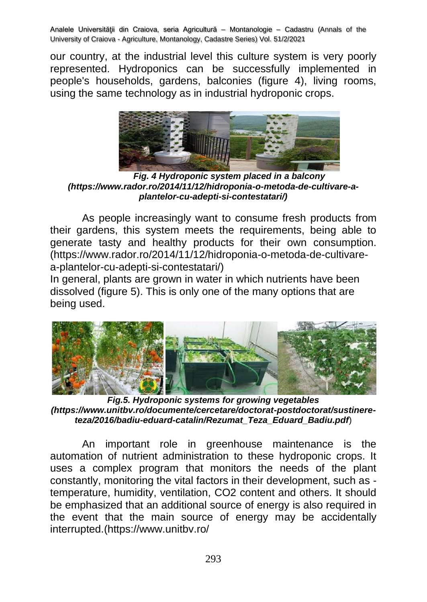our country, at the industrial level this culture system is very poorly represented. Hydroponics can be successfully implemented in people's households, gardens, balconies (figure 4), living rooms, using the same technology as in industrial hydroponic crops.



*Fig. 4 Hydroponic system placed in a balcony (https://www.rador.ro/2014/11/12/hidroponia-o-metoda-de-cultivare-aplantelor-cu-adepti-si-contestatari/)*

As people increasingly want to consume fresh products from their gardens, this system meets the requirements, being able to generate tasty and healthy products for their own consumption. (https://www.rador.ro/2014/11/12/hidroponia-o-metoda-de-cultivarea-plantelor-cu-adepti-si-contestatari/)

In general, plants are grown in water in which nutrients have been dissolved (figure 5). This is only one of the many options that are being used.



*Fig.5. Hydroponic systems for growing vegetables [\(https://www.unitbv.ro/documente/cercetare/doctorat-postdoctorat/sustinere](https://www.unitbv.ro/documente/cercetare/doctorat-postdoctorat/sustinere-teza/2016/badiu-eduard-catalin/Rezumat_Teza_Eduard_Badiu.pdf)[teza/2016/badiu-eduard-catalin/Rezumat\\_Teza\\_Eduard\\_Badiu.pdf](https://www.unitbv.ro/documente/cercetare/doctorat-postdoctorat/sustinere-teza/2016/badiu-eduard-catalin/Rezumat_Teza_Eduard_Badiu.pdf)*)

An important role in greenhouse maintenance is the automation of nutrient administration to these hydroponic crops. It uses a complex program that monitors the needs of the plant constantly, monitoring the vital factors in their development, such as temperature, humidity, ventilation, CO2 content and others. It should be emphasized that an additional source of energy is also required in the event that the main source of energy may be accidentally interrupted.[\(https://www.unitbv.ro/](https://www.unitbv.ro/%20documente/cercetare/doctoratpostdoctorat/sustinere-teza/2016/%20badiu-eduard)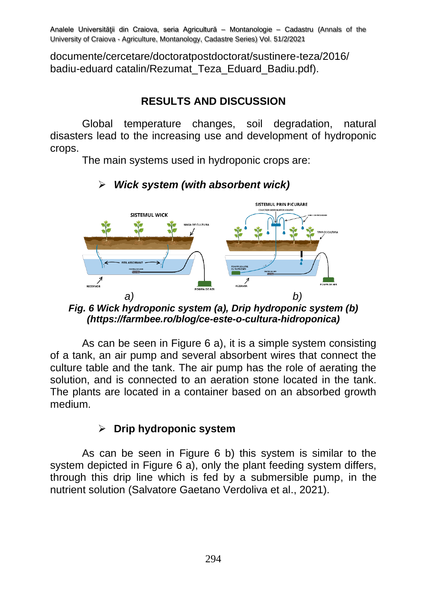[documente/cercetare/doctoratpostdoctorat/sustinere-teza/2016/](https://www.unitbv.ro/%20documente/cercetare/doctoratpostdoctorat/sustinere-teza/2016/%20badiu-eduard)  [badiu-eduard](https://www.unitbv.ro/%20documente/cercetare/doctoratpostdoctorat/sustinere-teza/2016/%20badiu-eduard) catalin/Rezumat\_Teza\_Eduard\_Badiu.pdf).

# **RESULTS AND DISCUSSION**

Global temperature changes, soil degradation, natural disasters lead to the increasing use and development of hydroponic crops.

The main systems used in hydroponic crops are:



# ➢ *Wick system (with absorbent wick)*

*Fig. 6 Wick hydroponic system (a), Drip hydroponic system (b) (https://farmbee.ro/blog/ce-este-o-cultura-hidroponica)*

As can be seen in Figure 6 a), it is a simple system consisting of a tank, an air pump and several absorbent wires that connect the culture table and the tank. The air pump has the role of aerating the solution, and is connected to an aeration stone located in the tank. The plants are located in a container based on an absorbed growth medium.

## ➢ **Drip hydroponic system**

As can be seen in Figure 6 b) this system is similar to the system depicted in Figure 6 a), only the plant feeding system differs, through this drip line which is fed by a submersible pump, in the nutrient solution (Salvatore Gaetano Verdoliva et al., 2021).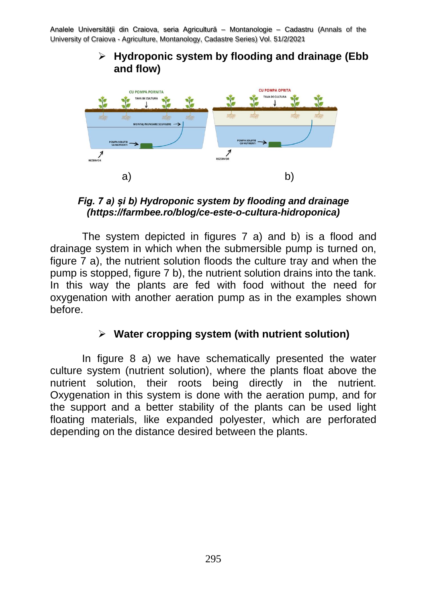#### ➢ **Hydroponic system by flooding and drainage (Ebb and flow)**



*Fig. 7 a) și b) Hydroponic system by flooding and drainage (https://farmbee.ro/blog/ce-este-o-cultura-hidroponica)*

The system depicted in figures 7 a) and b) is a flood and drainage system in which when the submersible pump is turned on, figure 7 a), the nutrient solution floods the culture tray and when the pump is stopped, figure 7 b), the nutrient solution drains into the tank. In this way the plants are fed with food without the need for oxygenation with another aeration pump as in the examples shown before.

## ➢ **Water cropping system (with nutrient solution)**

In figure 8 a) we have schematically presented the water culture system (nutrient solution), where the plants float above the nutrient solution, their roots being directly in the nutrient. Oxygenation in this system is done with the aeration pump, and for the support and a better stability of the plants can be used light floating materials, like expanded polyester, which are perforated depending on the distance desired between the plants.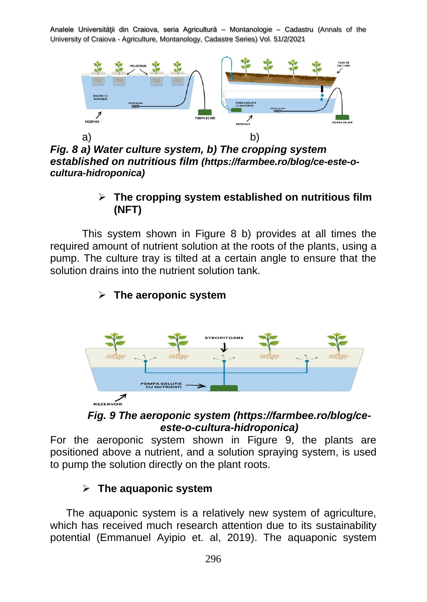

*Fig. 8 a) Water culture system, b) The cropping system established on nutritious film (https://farmbee.ro/blog/ce-este-ocultura-hidroponica)*

## ➢ **The cropping system established on nutritious film (NFT)**

This system shown in Figure 8 b) provides at all times the required amount of nutrient solution at the roots of the plants, using a pump. The culture tray is tilted at a certain angle to ensure that the solution drains into the nutrient solution tank.

# **ROPITOAR POMPA SOLUTIE<br>CU NUTRIENTI** REZERVOR

## ➢ **The aeroponic system**



For the aeroponic system shown in Figure 9, the plants are positioned above a nutrient, and a solution spraying system, is used to pump the solution directly on the plant roots.

# ➢ **The aquaponic system**

The aquaponic system is a relatively new system of agriculture, which has received much research attention due to its sustainability potential (Emmanuel Ayipio et. al, 2019). The aquaponic system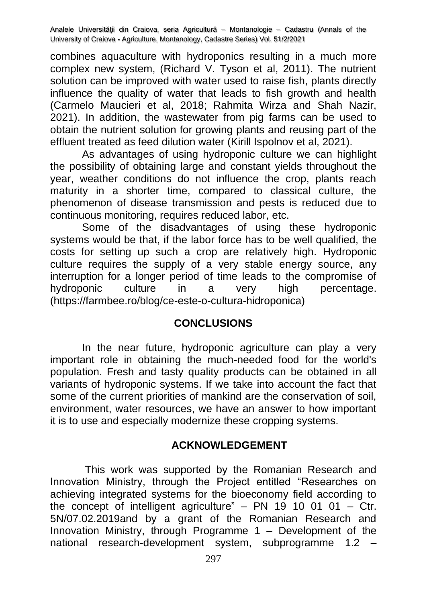combines aquaculture with hydroponics resulting in a much more complex new system, (Richard V. Tyson et al, 2011). The nutrient solution can be improved with water used to raise fish, plants directly influence the quality of water that leads to fish growth and health (Carmelo Maucieri et al, 2018; Rahmita Wirza and Shah Nazir, 2021). In addition, the wastewater from pig farms can be used to obtain the nutrient solution for growing plants and reusing part of the effluent treated as feed dilution water (Kirill Ispolnov et al, 2021).

As advantages of using hydroponic culture we can highlight the possibility of obtaining large and constant yields throughout the year, weather conditions do not influence the crop, plants reach maturity in a shorter time, compared to classical culture, the phenomenon of disease transmission and pests is reduced due to continuous monitoring, requires reduced labor, etc.

Some of the disadvantages of using these hydroponic systems would be that, if the labor force has to be well qualified, the costs for setting up such a crop are relatively high. Hydroponic culture requires the supply of a very stable energy source, any interruption for a longer period of time leads to the compromise of hydroponic culture in a very high percentage. (https://farmbee.ro/blog/ce-este-o-cultura-hidroponica)

## **CONCLUSIONS**

In the near future, hydroponic agriculture can play a very important role in obtaining the much-needed food for the world's population. Fresh and tasty quality products can be obtained in all variants of hydroponic systems. If we take into account the fact that some of the current priorities of mankind are the conservation of soil, environment, water resources, we have an answer to how important it is to use and especially modernize these cropping systems.

## **ACKNOWLEDGEMENT**

This work was supported by the Romanian Research and Innovation Ministry, through the Project entitled "Researches on achieving integrated systems for the bioeconomy field according to the concept of intelligent agriculture" – PN 19 10 01 01 –  $C$ tr. 5N/07.02.2019and by a grant of the Romanian Research and Innovation Ministry, through Programme 1 – Development of the national research-development system, subprogramme 1.2 –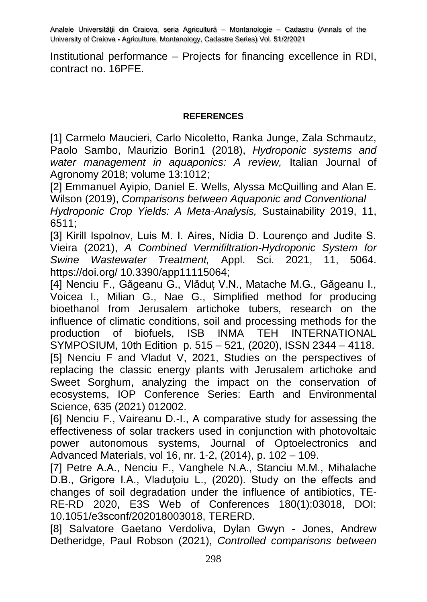Institutional performance – Projects for financing excellence in RDI, contract no. 16PFE.

#### **REFERENCES**

[1] Carmelo Maucieri, Carlo Nicoletto, Ranka Junge. Zala Schmautz. Paolo Sambo, Maurizio Borin1 (2018), *Hydroponic systems and water management in aquaponics: A review,* Italian Journal of Agronomy 2018; volume 13:1012;

[2] Emmanuel Ayipio, Daniel E. Wells, Alyssa McQuilling and Alan E. Wilson (2019), *Comparisons between Aquaponic and Conventional*

*Hydroponic Crop Yields: A Meta-Analysis,* Sustainability 2019, 11, 6511;

[3] Kirill Ispolnov, Luis M. I. Aires, Nídia D. Lourenço and Judite S. Vieira (2021), *A Combined Vermifiltration-Hydroponic System for Swine Wastewater Treatment,* Appl. Sci. 2021, 11, 5064. [https://doi.org/ 10.3390/](https://doi.org/%2010.3390)app11115064;

[4] Nenciu F., Gǎgeanu G., Vlǎduț V.N., Matache M.G., Gǎgeanu I., Voicea I., Milian G., Nae G., Simplified method for producing bioethanol from Jerusalem artichoke tubers, research on the influence of climatic conditions, soil and processing methods for the production of biofuels, ISB INMA TEH INTERNATIONAL SYMPOSIUM, 10th Edition p. 515 – 521, (2020), ISSN 2344 – 4118. [5] Nenciu F and Vladut V, 2021, Studies on the perspectives of replacing the classic energy plants with Jerusalem artichoke and Sweet Sorghum, analyzing the impact on the conservation of ecosystems, IOP Conference Series: Earth and Environmental Science, 635 (2021) 012002.

[6] Nenciu F., Vaireanu D.-I., A comparative study for assessing the effectiveness of solar trackers used in conjunction with photovoltaic power autonomous systems, Journal of Optoelectronics and Advanced Materials, vol 16, nr. 1-2, (2014), p. 102 – 109.

[7] Petre A.A., Nenciu F., Vanghele N.A., Stanciu M.M., Mihalache D.B., Grigore I.A., Vladutoiu L., (2020). Study on the effects and changes of soil degradation under the influence of antibiotics, TE-RE-RD 2020, E3S Web of Conferences 180(1):03018, DOI: 10.1051/e3sconf/202018003018, TERERD.

[8] Salvatore Gaetano Verdoliva, Dylan Gwyn - Jones, Andrew Detheridge, Paul Robson (2021), *Controlled comparisons between*